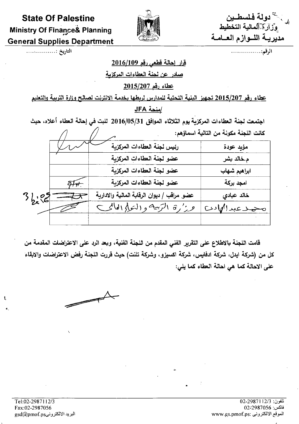# **State Of Palestine Ministry Of Finance& Planning General Supplies Department**



لم يستخدولة فلسطــين<br>استخطيط التخطيط مديريــة اللــوازم العــامــة

الرقم:................

التاريخ :..................

#### قرار إحالة قطعي رقم 2016/109

<u>صادر عن لجنة العطاءات المركزية</u>

### عطاء رقم 2015/207

<u>عطاء رقم 2015/207 تجهيز. البنية التجتية للمدارس لربطها بخدمة الإنترنت لصالح وزارة التربية والتعليم</u>

### /منحة JFA

اجتمعت لجنة العطاءات المركزية يوم الثلاثاء الموافق 2016/05/31 للبت في إحالة العطاء أعلاه، حيث

|       |                                             | كانت اللجنة مكونة من التالية اسماؤهم: |  |  |  |  |
|-------|---------------------------------------------|---------------------------------------|--|--|--|--|
|       | رئيس لجنة العطاءات المركزية                 | مؤيد عودة                             |  |  |  |  |
|       | عضو لجنة العطاءات المركزية                  | م خالد بشر                            |  |  |  |  |
|       | عضو لجنة العطاءات المركزية                  | ابراهيم شهاب                          |  |  |  |  |
|       | عضو لجنة العطاءات المركزية                  | امجد بركة                             |  |  |  |  |
| 56.82 | عضو مراقب / ديوان الرقابة المالية والادارية | خالد عبادى                            |  |  |  |  |
|       | عرز'رة التزبية و (لئولِي العالمي)           | تحصلا عبدالهادى                       |  |  |  |  |
|       |                                             |                                       |  |  |  |  |

قامت اللجنة بالاطلاع على التقرير الفني المقدم من اللجنة الفنية، وبعد الرد على الاعتراضات المقدمة من كل من (شركة ايدل، شركة ادفايس، شركة اكسيزو، وشركة تلنت) حيث قررت اللجنة رفض الاعتراضات والابقاء على الاحالة كما هي احالة العطاء كما يلي:



 $\mathbf{f}$